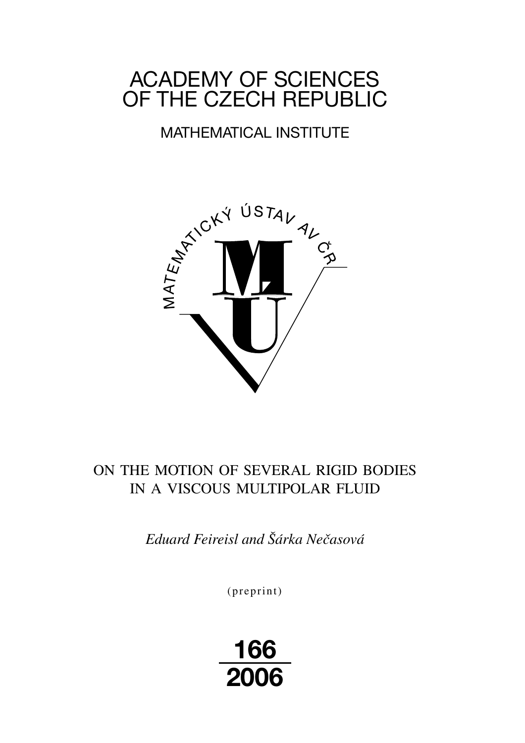# ACADEMY OF SCIENCES OF THE CZECH REPUBLIC

# MATHEMATICAL INSTITUTE



# ON THE MOTION OF SEVERAL RIGID BODIES IN A VISCOUS MULTIPOLAR FLUID

*Eduard Feireisl and Šárka Nečasová*

(preprint)

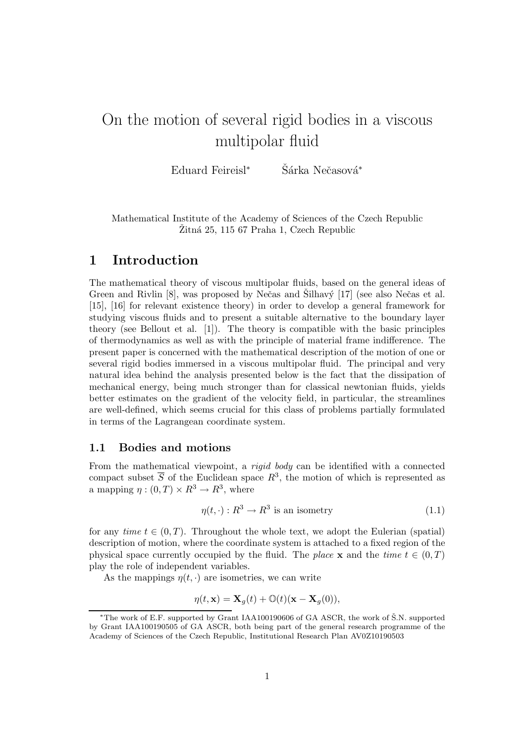# On the motion of several rigid bodies in a viscous multipolar fluid

Eduard Feireisl<sup>∗</sup> Šárka Nečasová<sup>\*</sup>

Mathematical Institute of the Academy of Sciences of the Czech Republic  $\overline{Z}$ itná 25, 115 67 Praha 1, Czech Republic

# 1 Introduction

The mathematical theory of viscous multipolar fluids, based on the general ideas of Green and Rivlin  $[8]$ , was proposed by Nečas and Silhavý  $[17]$  (see also Nečas et al. [15], [16] for relevant existence theory) in order to develop a general framework for studying viscous fluids and to present a suitable alternative to the boundary layer theory (see Bellout et al. [1]). The theory is compatible with the basic principles of thermodynamics as well as with the principle of material frame indifference. The present paper is concerned with the mathematical description of the motion of one or several rigid bodies immersed in a viscous multipolar fluid. The principal and very natural idea behind the analysis presented below is the fact that the dissipation of mechanical energy, being much stronger than for classical newtonian fluids, yields better estimates on the gradient of the velocity field, in particular, the streamlines are well-defined, which seems crucial for this class of problems partially formulated in terms of the Lagrangean coordinate system.

### 1.1 Bodies and motions

From the mathematical viewpoint, a *rigid body* can be identified with a connected compact subset  $\overline{S}$  of the Euclidean space  $R^3$ , the motion of which is represented as a mapping  $\eta : (0, T) \times \mathbb{R}^3 \to \mathbb{R}^3$ , where

$$
\eta(t, \cdot) : R^3 \to R^3 \text{ is an isometry}
$$
\n
$$
(1.1)
$$

for any time  $t \in (0,T)$ . Throughout the whole text, we adopt the Eulerian (spatial) description of motion, where the coordinate system is attached to a fixed region of the physical space currently occupied by the fluid. The place **x** and the time  $t \in (0,T)$ play the role of independent variables.

As the mappings  $\eta(t, \cdot)$  are isometries, we can write

$$
\eta(t, \mathbf{x}) = \mathbf{X}_g(t) + \mathbb{O}(t)(\mathbf{x} - \mathbf{X}_g(0)),
$$

<sup>∗</sup>The work of E.F. supported by Grant IAA100190606 of GA ASCR, the work of S.N. supported ˇ by Grant IAA100190505 of GA ASCR, both being part of the general research programme of the Academy of Sciences of the Czech Republic, Institutional Research Plan AV0Z10190503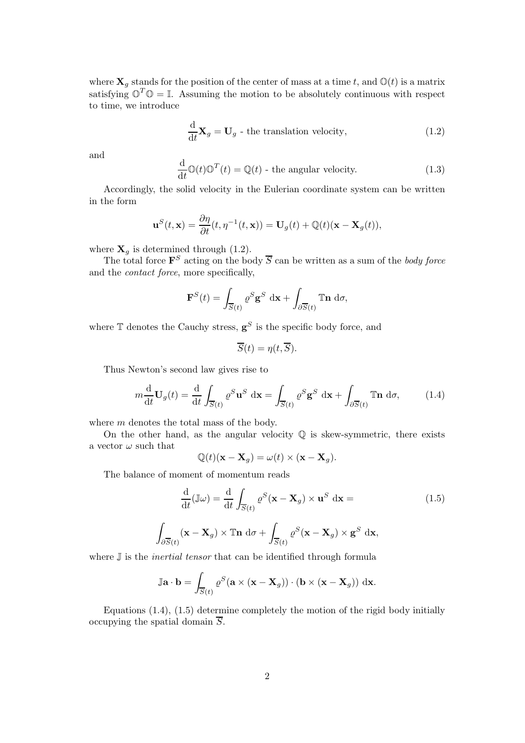where  $X_q$  stands for the position of the center of mass at a time t, and  $\mathbb{O}(t)$  is a matrix satisfying  $\mathbb{O}^T \mathbb{O} = \mathbb{I}$ . Assuming the motion to be absolutely continuous with respect to time, we introduce

$$
\frac{\mathrm{d}}{\mathrm{d}t}\mathbf{X}_g = \mathbf{U}_g \text{ - the translation velocity},\tag{1.2}
$$

and

$$
\frac{\mathrm{d}}{\mathrm{d}t}\mathbb{O}(t)\mathbb{O}^T(t) = \mathbb{Q}(t) \text{ - the angular velocity.}
$$
 (1.3)

Accordingly, the solid velocity in the Eulerian coordinate system can be written in the form

$$
\mathbf{u}^{S}(t,\mathbf{x}) = \frac{\partial \eta}{\partial t}(t,\eta^{-1}(t,\mathbf{x})) = \mathbf{U}_g(t) + \mathbb{Q}(t)(\mathbf{x} - \mathbf{X}_g(t)),
$$

where  $\mathbf{X}_g$  is determined through (1.2).

The total force  $\mathbf{F}^S$  acting on the body  $\overline{S}$  can be written as a sum of the body force and the contact force, more specifically,

$$
\mathbf{F}^{S}(t) = \int_{\overline{S}(t)} \varrho^{S} \mathbf{g}^{S} d\mathbf{x} + \int_{\partial \overline{S}(t)} \mathbb{T} \mathbf{n} d\sigma,
$$

where  $\mathbb T$  denotes the Cauchy stress,  $\mathbf g^S$  is the specific body force, and

$$
\overline{S}(t) = \eta(t, \overline{S}).
$$

Thus Newton's second law gives rise to

$$
m\frac{\mathrm{d}}{\mathrm{d}t}\mathbf{U}_g(t) = \frac{\mathrm{d}}{\mathrm{d}t} \int_{\overline{S}(t)} \varrho^S \mathbf{u}^S \, \mathrm{d}\mathbf{x} = \int_{\overline{S}(t)} \varrho^S \mathbf{g}^S \, \mathrm{d}\mathbf{x} + \int_{\partial \overline{S}(t)} \mathbb{T} \mathbf{n} \, \mathrm{d}\sigma,\tag{1.4}
$$

where *m* denotes the total mass of the body.

On the other hand, as the angular velocity  $\mathbb Q$  is skew-symmetric, there exists a vector  $\omega$  such that

$$
\mathbb{Q}(t)(\mathbf{x}-\mathbf{X}_g)=\omega(t)\times(\mathbf{x}-\mathbf{X}_g).
$$

The balance of moment of momentum reads

$$
\frac{\mathrm{d}}{\mathrm{d}t}(\mathbb{J}\omega) = \frac{\mathrm{d}}{\mathrm{d}t} \int_{\overline{S}(t)} \varrho^{S}(\mathbf{x} - \mathbf{X}_{g}) \times \mathbf{u}^{S} \, \mathrm{d}\mathbf{x} =
$$
\n
$$
\int_{\partial \overline{S}(t)} (\mathbf{x} - \mathbf{X}_{g}) \times \mathbb{T} \mathbf{n} \, \mathrm{d}\sigma + \int_{\overline{S}(t)} \varrho^{S}(\mathbf{x} - \mathbf{X}_{g}) \times \mathbf{g}^{S} \, \mathrm{d}\mathbf{x},
$$
\n(1.5)

where  $\mathbb J$  is the *inertial tensor* that can be identified through formula

$$
\mathbb{J}\mathbf{a} \cdot \mathbf{b} = \int_{\overline{S}(t)} \varrho^{S} (\mathbf{a} \times (\mathbf{x} - \mathbf{X}_{g})) \cdot (\mathbf{b} \times (\mathbf{x} - \mathbf{X}_{g})) \, \mathrm{d}\mathbf{x}.
$$

Equations (1.4), (1.5) determine completely the motion of the rigid body initially occupying the spatial domain  $\overline{S}$ .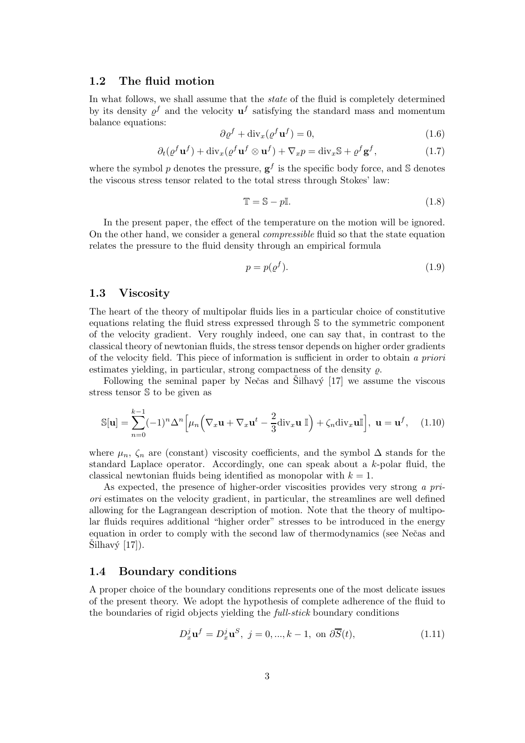### 1.2 The fluid motion

In what follows, we shall assume that the state of the fluid is completely determined by its density  $\varrho^f$  and the velocity  $\mathbf{u}^f$  satisfying the standard mass and momentum balance equations:

$$
\partial \varrho^f + \text{div}_x(\varrho^f \mathbf{u}^f) = 0,\tag{1.6}
$$

$$
\partial_t(\varrho^f \mathbf{u}^f) + \text{div}_x(\varrho^f \mathbf{u}^f \otimes \mathbf{u}^f) + \nabla_x p = \text{div}_x \mathbb{S} + \varrho^f \mathbf{g}^f,\tag{1.7}
$$

where the symbol p denotes the pressure,  $g^f$  is the specific body force, and S denotes the viscous stress tensor related to the total stress through Stokes' law:

$$
\mathbb{T} = \mathbb{S} - p\mathbb{I}.\tag{1.8}
$$

In the present paper, the effect of the temperature on the motion will be ignored. On the other hand, we consider a general compressible fluid so that the state equation relates the pressure to the fluid density through an empirical formula

$$
p = p(\varrho^f). \tag{1.9}
$$

### 1.3 Viscosity

The heart of the theory of multipolar fluids lies in a particular choice of constitutive equations relating the fluid stress expressed through S to the symmetric component of the velocity gradient. Very roughly indeed, one can say that, in contrast to the classical theory of newtonian fluids, the stress tensor depends on higher order gradients of the velocity field. This piece of information is sufficient in order to obtain a priori estimates yielding, in particular, strong compactness of the density  $\rho$ .

Following the seminal paper by Nečas and  $\ddot{\text{Silhav}}/T$  we assume the viscous stress tensor S to be given as

$$
\mathbb{S}[\mathbf{u}] = \sum_{n=0}^{k-1} (-1)^n \Delta^n \Big[ \mu_n \Big( \nabla_x \mathbf{u} + \nabla_x \mathbf{u}^t - \frac{2}{3} \text{div}_x \mathbf{u} \, \mathbb{I} \Big) + \zeta_n \text{div}_x \mathbf{u} \mathbb{I} \Big], \ \mathbf{u} = \mathbf{u}^f, \quad (1.10)
$$

where  $\mu_n$ ,  $\zeta_n$  are (constant) viscosity coefficients, and the symbol  $\Delta$  stands for the standard Laplace operator. Accordingly, one can speak about a k-polar fluid, the classical newtonian fluids being identified as monopolar with  $k = 1$ .

As expected, the presence of higher-order viscosities provides very strong a priori estimates on the velocity gradient, in particular, the streamlines are well defined allowing for the Lagrangean description of motion. Note that the theory of multipolar fluids requires additional "higher order" stresses to be introduced in the energy equation in order to comply with the second law of thermodynamics (see Neˇcas and  $\text{Silhavy}$  [17]).

#### 1.4 Boundary conditions

A proper choice of the boundary conditions represents one of the most delicate issues of the present theory. We adopt the hypothesis of complete adherence of the fluid to the boundaries of rigid objects yielding the full-stick boundary conditions

$$
D_x^j \mathbf{u}^f = D_x^j \mathbf{u}^S, \ j = 0, \dots, k - 1, \text{ on } \partial \overline{S}(t), \tag{1.11}
$$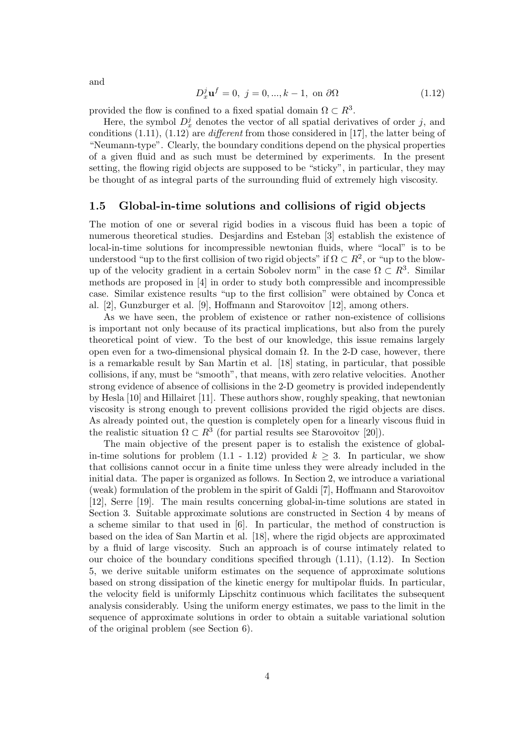$$
D_x^j \mathbf{u}^f = 0, \ j = 0, ..., k - 1, \text{ on } \partial\Omega \tag{1.12}
$$

provided the flow is confined to a fixed spatial domain  $\Omega \subset R^3$ .

Here, the symbol  $D_x^j$  denotes the vector of all spatial derivatives of order j, and conditions  $(1.11)$ ,  $(1.12)$  are *different* from those considered in [17], the latter being of "Neumann-type". Clearly, the boundary conditions depend on the physical properties of a given fluid and as such must be determined by experiments. In the present setting, the flowing rigid objects are supposed to be "sticky", in particular, they may be thought of as integral parts of the surrounding fluid of extremely high viscosity.

### 1.5 Global-in-time solutions and collisions of rigid objects

The motion of one or several rigid bodies in a viscous fluid has been a topic of numerous theoretical studies. Desjardins and Esteban [3] establish the existence of local-in-time solutions for incompressible newtonian fluids, where "local" is to be understood "up to the first collision of two rigid objects" if  $\Omega \subset R^2,$  or "up to the blowup of the velocity gradient in a certain Sobolev norm" in the case  $\Omega \subset R^3$ . Similar methods are proposed in [4] in order to study both compressible and incompressible case. Similar existence results "up to the first collision" were obtained by Conca et al. [2], Gunzburger et al. [9], Hoffmann and Starovoitov [12], among others.

As we have seen, the problem of existence or rather non-existence of collisions is important not only because of its practical implications, but also from the purely theoretical point of view. To the best of our knowledge, this issue remains largely open even for a two-dimensional physical domain  $Ω$ . In the 2-D case, however, there is a remarkable result by San Martin et al. [18] stating, in particular, that possible collisions, if any, must be "smooth", that means, with zero relative velocities. Another strong evidence of absence of collisions in the 2-D geometry is provided independently by Hesla [10] and Hillairet [11]. These authors show, roughly speaking, that newtonian viscosity is strong enough to prevent collisions provided the rigid objects are discs. As already pointed out, the question is completely open for a linearly viscous fluid in the realistic situation  $\Omega \subset R^3$  (for partial results see Starovoitov [20]).

The main objective of the present paper is to estalish the existence of globalin-time solutions for problem  $(1.1 - 1.12)$  provided  $k \geq 3$ . In particular, we show that collisions cannot occur in a finite time unless they were already included in the initial data. The paper is organized as follows. In Section 2, we introduce a variational (weak) formulation of the problem in the spirit of Galdi [7], Hoffmann and Starovoitov [12], Serre [19]. The main results concerning global-in-time solutions are stated in Section 3. Suitable approximate solutions are constructed in Section 4 by means of a scheme similar to that used in [6]. In particular, the method of construction is based on the idea of San Martin et al. [18], where the rigid objects are approximated by a fluid of large viscosity. Such an approach is of course intimately related to our choice of the boundary conditions specified through (1.11), (1.12). In Section 5, we derive suitable uniform estimates on the sequence of approximate solutions based on strong dissipation of the kinetic energy for multipolar fluids. In particular, the velocity field is uniformly Lipschitz continuous which facilitates the subsequent analysis considerably. Using the uniform energy estimates, we pass to the limit in the sequence of approximate solutions in order to obtain a suitable variational solution of the original problem (see Section 6).

and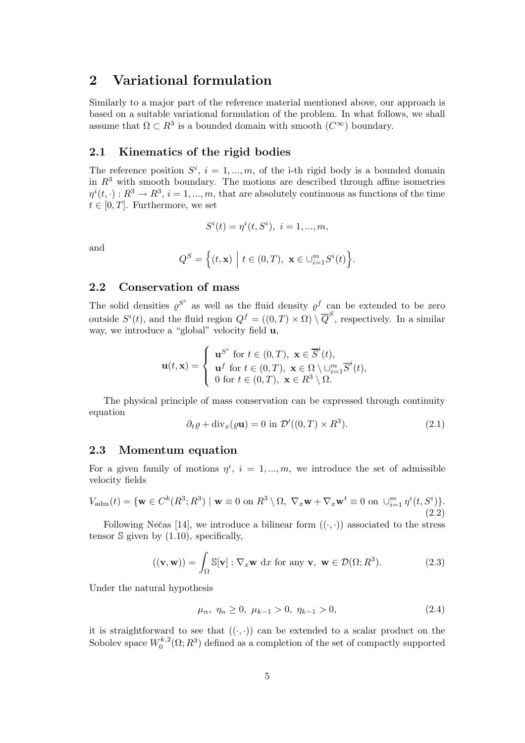# 2 Variational formulation

Similarly to a major part of the reference material mentioned above, our approach is based on a suitable variational formulation of the problem. In what follows, we shall assume that  $\Omega \subset R^3$  is a bounded domain with smooth  $(C^{\infty})$  boundary.

## 2.1 Kinematics of the rigid bodies

The reference position  $S^i$ ,  $i = 1, ..., m$ , of the i-th rigid body is a bounded domain in  $R<sup>3</sup>$  with smooth boundary. The motions are described through affine isometries  $\eta^{i}(t, \cdot): R^{3} \to R^{3}, i = 1, ..., m$ , that are absolutely continuous as functions of the time  $t \in [0, T]$ . Furthermore, we set

$$
S^{i}(t) = \eta^{i}(t, S^{i}), \ i = 1, ..., m,
$$

and

$$
Q^{S} = \Big\{ (t, \mathbf{x}) \Big| t \in (0, T), \ \mathbf{x} \in \bigcup_{i=1}^{m} S^{i}(t) \Big\}.
$$

## 2.2 Conservation of mass

The solid densities  $\varrho^{S^i}$  as well as the fluid density  $\varrho^f$  can be extended to be zero outside  $S^{i}(t)$ , and the fluid region  $Q^{f} = ((0, T) \times \Omega) \setminus \overline{Q}^{S}$ , respectively. In a similar way, we introduce a "global" velocity field u,

$$
\mathbf{u}(t,\mathbf{x}) = \begin{cases} \mathbf{u}^{S^i} \text{ for } t \in (0,T), \ \mathbf{x} \in \overline{S}^i(t), \\ \mathbf{u}^f \text{ for } t \in (0,T), \ \mathbf{x} \in \Omega \setminus \cup_{i=1}^m \overline{S}^i(t), \\ 0 \text{ for } t \in (0,T), \ \mathbf{x} \in R^3 \setminus \Omega. \end{cases}
$$

The physical principle of mass conservation can be expressed through continuity equation

$$
\partial_t \varrho + \text{div}_x(\varrho \mathbf{u}) = 0 \text{ in } \mathcal{D}'((0, T) \times R^3). \tag{2.1}
$$

## 2.3 Momentum equation

For a given family of motions  $\eta^i$ ,  $i = 1, ..., m$ , we introduce the set of admissible velocity fields

$$
V_{\rm adm}(t) = \{ \mathbf{w} \in C^k(R^3; R^3) \mid \mathbf{w} \equiv 0 \text{ on } R^3 \setminus \Omega, \ \nabla_x \mathbf{w} + \nabla_x \mathbf{w}^t \equiv 0 \text{ on } \cup_{i=1}^m \eta^i(t, S^i) \}.
$$
\n(2.2)

Following Nečas [14], we introduce a bilinear form  $((\cdot, \cdot))$  associated to the stress tensor  $\Im$  given by  $(1.10)$ , specifically,

$$
((\mathbf{v}, \mathbf{w})) = \int_{\Omega} \mathbb{S}[\mathbf{v}] : \nabla_x \mathbf{w} \, dx \text{ for any } \mathbf{v}, \ \mathbf{w} \in \mathcal{D}(\Omega; R^3). \tag{2.3}
$$

Under the natural hypothesis

$$
\mu_n, \ \eta_n \ge 0, \ \mu_{k-1} > 0, \ \eta_{k-1} > 0,\tag{2.4}
$$

it is straightforward to see that  $((\cdot,\cdot))$  can be extended to a scalar product on the Sobolev space  $W_0^{k,2}$  $\binom{k}{0}^{k,2}(\Omega;R^3)$  defined as a completion of the set of compactly supported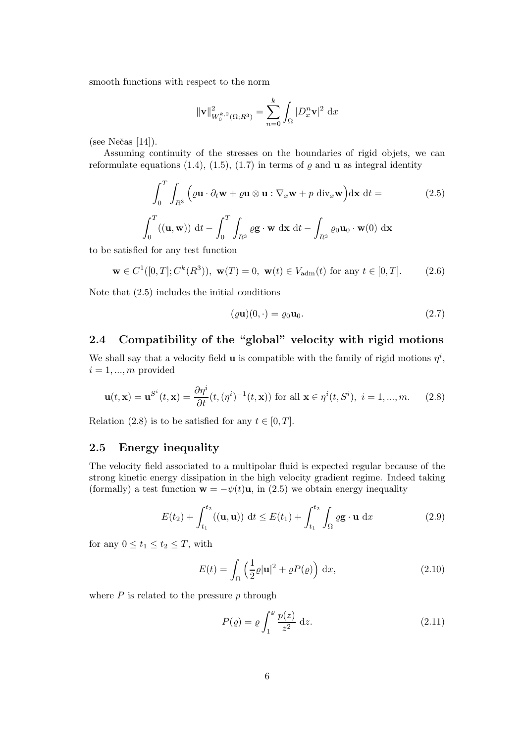smooth functions with respect to the norm

$$
\|\mathbf{v}\|_{W_0^{k,2}(\Omega;R^3)}^2 = \sum_{n=0}^k \int_{\Omega} |D_x^n \mathbf{v}|^2 \, \mathrm{d}x
$$

 $(see Nečas [14]).$ 

Assuming continuity of the stresses on the boundaries of rigid objets, we can reformulate equations (1.4), (1.5), (1.7) in terms of  $\rho$  and **u** as integral identity

$$
\int_0^T \int_{R^3} \left( \varrho \mathbf{u} \cdot \partial_t \mathbf{w} + \varrho \mathbf{u} \otimes \mathbf{u} : \nabla_x \mathbf{w} + p \operatorname{div}_x \mathbf{w} \right) d\mathbf{x} dt =
$$
\n
$$
\int_0^T ((\mathbf{u}, \mathbf{w})) dt - \int_0^T \int_{R^3} \varrho \mathbf{g} \cdot \mathbf{w} dx dt - \int_{R^3} \varrho_0 \mathbf{u}_0 \cdot \mathbf{w}(0) dx
$$
\n(2.5)

to be satisfied for any test function

$$
\mathbf{w} \in C^1([0, T]; C^k(R^3)), \mathbf{w}(T) = 0, \mathbf{w}(t) \in V_{\text{adm}}(t) \text{ for any } t \in [0, T]. \tag{2.6}
$$

Note that (2.5) includes the initial conditions

$$
(\varrho \mathbf{u})(0, \cdot) = \varrho_0 \mathbf{u}_0. \tag{2.7}
$$

## 2.4 Compatibility of the "global" velocity with rigid motions

We shall say that a velocity field **u** is compatible with the family of rigid motions  $\eta^i$ ,  $i = 1, ..., m$  provided

$$
\mathbf{u}(t,\mathbf{x}) = \mathbf{u}^{S^i}(t,\mathbf{x}) = \frac{\partial \eta^i}{\partial t}(t,(\eta^i)^{-1}(t,\mathbf{x})) \text{ for all } \mathbf{x} \in \eta^i(t,S^i), \ i = 1,...,m. \tag{2.8}
$$

Relation (2.8) is to be satisfied for any  $t \in [0, T]$ .

### 2.5 Energy inequality

The velocity field associated to a multipolar fluid is expected regular because of the strong kinetic energy dissipation in the high velocity gradient regime. Indeed taking (formally) a test function  $\mathbf{w} = -\psi(t)\mathbf{u}$ , in (2.5) we obtain energy inequality

$$
E(t_2) + \int_{t_1}^{t_2} ((\mathbf{u}, \mathbf{u})) dt \le E(t_1) + \int_{t_1}^{t_2} \int_{\Omega} \varrho \mathbf{g} \cdot \mathbf{u} dx \qquad (2.9)
$$

for any  $0 \le t_1 \le t_2 \le T$ , with

$$
E(t) = \int_{\Omega} \left(\frac{1}{2}\varrho|\mathbf{u}|^2 + \varrho P(\varrho)\right) dx,
$$
\n(2.10)

where  $P$  is related to the pressure  $p$  through

$$
P(\varrho) = \varrho \int_1^{\varrho} \frac{p(z)}{z^2} dz.
$$
 (2.11)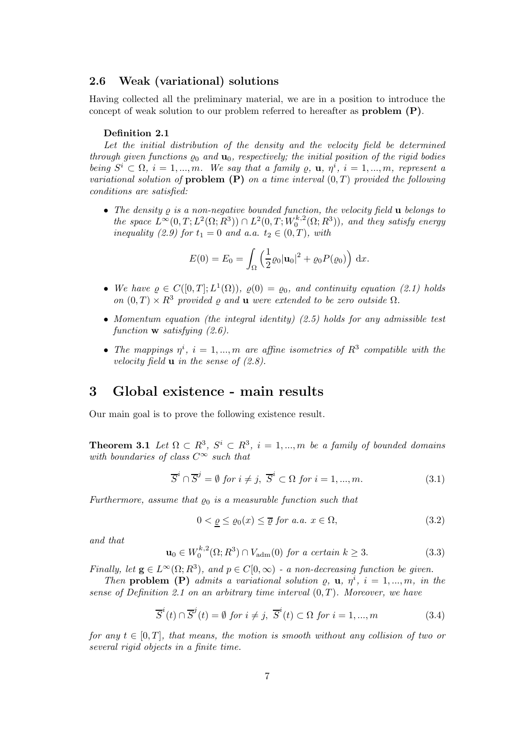### 2.6 Weak (variational) solutions

Having collected all the preliminary material, we are in a position to introduce the concept of weak solution to our problem referred to hereafter as problem (P).

#### Definition 2.1

Let the initial distribution of the density and the velocity field be determined through given functions  $\varrho_0$  and  $\mathbf{u}_0$ , respectively; the initial position of the rigid bodies being  $S^i \subset \Omega$ ,  $i = 1, ..., m$ . We say that a family  $\varrho$ ,  $\mathbf{u}, \eta^i$ ,  $i = 1, ..., m$ , represent a variational solution of **problem**  $(P)$  on a time interval  $(0,T)$  provided the following conditions are satisfied:

• The density  $\rho$  is a non-negative bounded function, the velocity field  $\bf{u}$  belongs to the space  $L^{\infty}(0,T; L^{2}(\Omega; R^{3})) \cap L^{2}(0,T; W_{0}^{k,2})$  $\mathcal{L}_0^{k,2}(\Omega;R^3)$ , and they satisfy energy inequality (2.9) for  $t_1 = 0$  and a.a.  $t_2 \in (0, T)$ , with

$$
E(0) = E_0 = \int_{\Omega} \left( \frac{1}{2} \varrho_0 |{\bf u}_0|^2 + \varrho_0 P(\varrho_0) \right) dx.
$$

- We have  $\varrho \in C([0,T];L^1(\Omega))$ ,  $\varrho(0) = \varrho_0$ , and continuity equation (2.1) holds on  $(0,T) \times R^3$  provided  $\rho$  and **u** were extended to be zero outside  $\Omega$ .
- Momentum equation (the integral identity)  $(2.5)$  holds for any admissible test function **w** satisfying  $(2.6)$ .
- The mappings  $\eta^i$ ,  $i = 1, ..., m$  are affine isometries of  $R^3$  compatible with the velocity field  $\bf{u}$  in the sense of (2.8).

# 3 Global existence - main results

Our main goal is to prove the following existence result.

**Theorem 3.1** Let  $\Omega \subset R^3$ ,  $S^i \subset R^3$ ,  $i = 1,...,m$  be a family of bounded domains with boundaries of class  $C^{\infty}$  such that

$$
\overline{S}^i \cap \overline{S}^j = \emptyset \text{ for } i \neq j, \ \overline{S}^i \subset \Omega \text{ for } i = 1, ..., m. \tag{3.1}
$$

Furthermore, assume that  $\rho_0$  is a measurable function such that

$$
0 < \varrho \le \varrho_0(x) \le \overline{\varrho} \text{ for a.a. } x \in \Omega,\tag{3.2}
$$

and that

$$
\mathbf{u}_0 \in W_0^{k,2}(\Omega; R^3) \cap V_{\text{adm}}(0) \text{ for a certain } k \ge 3. \tag{3.3}
$$

Finally, let  $\mathbf{g} \in L^{\infty}(\Omega; R^3)$ , and  $p \in C[0, \infty)$  - a non-decreasing function be given.

Then problem (P) admits a variational solution  $\varrho$ ,  $\mathbf{u}$ ,  $\eta^i$ ,  $i = 1, ..., m$ , in the sense of Definition 2.1 on an arbitrary time interval  $(0,T)$ . Moreover, we have

$$
\overline{S}^{i}(t) \cap \overline{S}^{j}(t) = \emptyset \text{ for } i \neq j, \ \overline{S}^{i}(t) \subset \Omega \text{ for } i = 1, ..., m
$$
 (3.4)

for any  $t \in [0,T]$ , that means, the motion is smooth without any collision of two or several rigid objects in a finite time.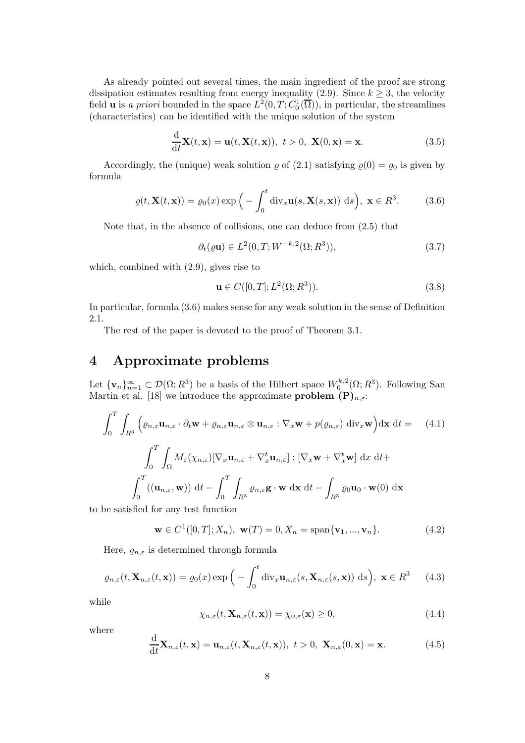As already pointed out several times, the main ingredient of the proof are strong dissipation estimates resulting from energy inequality (2.9). Since  $k \geq 3$ , the velocity field **u** is a priori bounded in the space  $L^2(0,T; C_0^1(\overline{\Omega}))$ , in particular, the streamlines (characteristics) can be identified with the unique solution of the system

$$
\frac{\mathrm{d}}{\mathrm{d}t}\mathbf{X}(t,\mathbf{x}) = \mathbf{u}(t,\mathbf{X}(t,\mathbf{x})), \ t > 0, \ \mathbf{X}(0,\mathbf{x}) = \mathbf{x}.\tag{3.5}
$$

Accordingly, the (unique) weak solution  $\varrho$  of (2.1) satisfying  $\varrho(0) = \varrho_0$  is given by formula

$$
\varrho(t, \mathbf{X}(t, \mathbf{x})) = \varrho_0(x) \exp\Big(-\int_0^t \operatorname{div}_x \mathbf{u}(s, \mathbf{X}(s, \mathbf{x})) \, ds\Big), \ \mathbf{x} \in R^3. \tag{3.6}
$$

Note that, in the absence of collisions, one can deduce from (2.5) that

$$
\partial_t(\varrho \mathbf{u}) \in L^2(0, T; W^{-k,2}(\Omega; R^3)),\tag{3.7}
$$

which, combined with (2.9), gives rise to

$$
\mathbf{u} \in C([0, T]; L^2(\Omega; R^3)).
$$
\n(3.8)

In particular, formula (3.6) makes sense for any weak solution in the sense of Definition 2.1.

The rest of the paper is devoted to the proof of Theorem 3.1.

# 4 Approximate problems

Let  $\{v_n\}_{n=1}^{\infty} \subset \mathcal{D}(\Omega; R^3)$  be a basis of the Hilbert space  $W_0^{k,2}$  $\chi_0^{k,2}(\Omega; R^3)$ . Following San Martin et al. [18] we introduce the approximate **problem**  $(P)_{n,\varepsilon}$ :

$$
\int_0^T \int_{R^3} \left( \varrho_{n,\varepsilon} \mathbf{u}_{n,\varepsilon} \cdot \partial_t \mathbf{w} + \varrho_{n,\varepsilon} \mathbf{u}_{n,\varepsilon} \otimes \mathbf{u}_{n,\varepsilon} : \nabla_x \mathbf{w} + p(\varrho_{n,\varepsilon}) \operatorname{div}_x \mathbf{w} \right) \mathrm{d}\mathbf{x} \, \mathrm{d}t = \qquad (4.1)
$$
\n
$$
\int_0^T \int_{\Omega} M_\varepsilon(\chi_{n,\varepsilon}) [\nabla_x \mathbf{u}_{n,\varepsilon} + \nabla_x^t \mathbf{u}_{n,\varepsilon}] : [\nabla_x \mathbf{w} + \nabla_x^t \mathbf{w}] \, \mathrm{d}x \, \mathrm{d}t +
$$
\n
$$
\int_0^T \left( (\mathbf{u}_{n,\varepsilon}, \mathbf{w}) \right) \mathrm{d}t - \int_0^T \int_{R^3} \varrho_{n,\varepsilon} \mathbf{g} \cdot \mathbf{w} \, \mathrm{d}\mathbf{x} \, \mathrm{d}t - \int_{R^3} \varrho_0 \mathbf{u}_0 \cdot \mathbf{w}(0) \, \mathrm{d}\mathbf{x}
$$
\nbe satisfied for any test function

to be satisfied for any test function

$$
\mathbf{w} \in C^{1}([0, T]; X_{n}), \mathbf{w}(T) = 0, X_{n} = \text{span}\{\mathbf{v}_{1}, ..., \mathbf{v}_{n}\}.
$$
 (4.2)

Here,  $\varrho_{n,\varepsilon}$  is determined through formula

$$
\varrho_{n,\varepsilon}(t,\mathbf{X}_{n,\varepsilon}(t,\mathbf{x})) = \varrho_0(x) \exp\Big(-\int_0^t \operatorname{div}_x \mathbf{u}_{n,\varepsilon}(s,\mathbf{X}_{n,\varepsilon}(s,\mathbf{x})) \, \mathrm{d}s\Big), \ \mathbf{x} \in R^3 \qquad (4.3)
$$

while

$$
\chi_{n,\varepsilon}(t, \mathbf{X}_{n,\varepsilon}(t, \mathbf{x})) = \chi_{0,\varepsilon}(\mathbf{x}) \ge 0,
$$
\n(4.4)

where

$$
\frac{\mathrm{d}}{\mathrm{d}t}\mathbf{X}_{n,\varepsilon}(t,\mathbf{x}) = \mathbf{u}_{n,\varepsilon}(t,\mathbf{X}_{n,\varepsilon}(t,\mathbf{x})),\ t>0,\ \mathbf{X}_{n,\varepsilon}(0,\mathbf{x}) = \mathbf{x}.\tag{4.5}
$$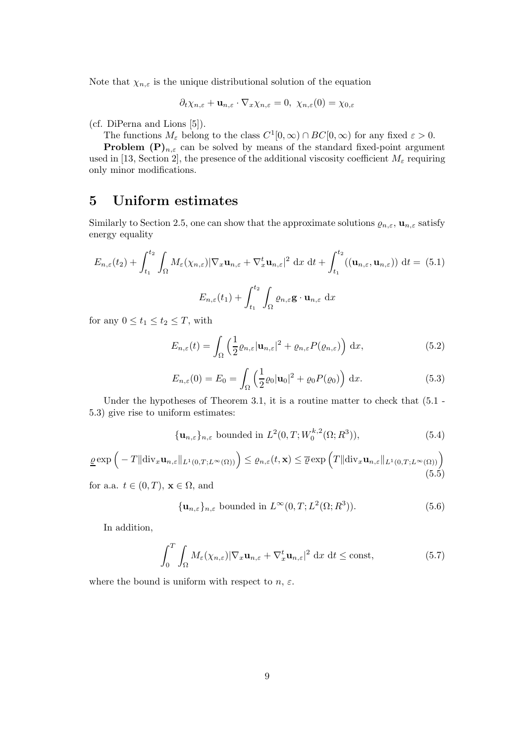Note that  $\chi_{n,\varepsilon}$  is the unique distributional solution of the equation

$$
\partial_t \chi_{n,\varepsilon} + \mathbf{u}_{n,\varepsilon} \cdot \nabla_x \chi_{n,\varepsilon} = 0, \ \chi_{n,\varepsilon}(0) = \chi_{0,\varepsilon}
$$

(cf. DiPerna and Lions [5]).

The functions  $M_{\varepsilon}$  belong to the class  $C^1[0,\infty) \cap BC[0,\infty)$  for any fixed  $\varepsilon > 0$ .

**Problem**  $(P)_{n,\varepsilon}$  can be solved by means of the standard fixed-point argument used in [13, Section 2], the presence of the additional viscosity coefficient  $M_{\varepsilon}$  requiring only minor modifications.

# 5 Uniform estimates

Similarly to Section 2.5, one can show that the approximate solutions  $\varrho_{n,\varepsilon}$ ,  $\mathbf{u}_{n,\varepsilon}$  satisfy energy equality

$$
E_{n,\varepsilon}(t_2) + \int_{t_1}^{t_2} \int_{\Omega} M_{\varepsilon}(\chi_{n,\varepsilon}) |\nabla_x \mathbf{u}_{n,\varepsilon} + \nabla_x^t \mathbf{u}_{n,\varepsilon}|^2 dx dt + \int_{t_1}^{t_2} ((\mathbf{u}_{n,\varepsilon}, \mathbf{u}_{n,\varepsilon})) dt = (5.1)
$$

$$
E_{n,\varepsilon}(t_1) + \int_{t_1}^{t_2} \int_{\Omega} \varrho_{n,\varepsilon} \mathbf{g} \cdot \mathbf{u}_{n,\varepsilon} dx
$$

for any  $0 \le t_1 \le t_2 \le T$ , with

$$
E_{n,\varepsilon}(t) = \int_{\Omega} \left( \frac{1}{2} \varrho_{n,\varepsilon} |\mathbf{u}_{n,\varepsilon}|^2 + \varrho_{n,\varepsilon} P(\varrho_{n,\varepsilon}) \right) dx, \tag{5.2}
$$

$$
E_{n,\varepsilon}(0) = E_0 = \int_{\Omega} \left( \frac{1}{2} \varrho_0 |\mathbf{u}_0|^2 + \varrho_0 P(\varrho_0) \right) dx.
$$
 (5.3)

Under the hypotheses of Theorem 3.1, it is a routine matter to check that  $(5.1 -$ 5.3) give rise to uniform estimates:

$$
\{\mathbf u_{n,\varepsilon}\}_{n,\varepsilon} \text{ bounded in } L^2(0,T;W_0^{k,2}(\Omega;R^3)),\tag{5.4}
$$

$$
\underline{\varrho} \exp\left(-T \|\text{div}_x \mathbf{u}_{n,\varepsilon}\|_{L^1(0,T;L^\infty(\Omega))}\right) \leq \varrho_{n,\varepsilon}(t,\mathbf{x}) \leq \overline{\varrho} \exp\left(T \|\text{div}_x \mathbf{u}_{n,\varepsilon}\|_{L^1(0,T;L^\infty(\Omega))}\right) \tag{5.5}
$$

for a.a.  $t \in (0, T)$ ,  $\mathbf{x} \in \Omega$ , and

$$
\{\mathbf u_{n,\varepsilon}\}_{n,\varepsilon} \text{ bounded in } L^\infty(0,T;L^2(\Omega;R^3)).\tag{5.6}
$$

In addition,

$$
\int_0^T \int_{\Omega} M_{\varepsilon}(\chi_{n,\varepsilon}) |\nabla_x \mathbf{u}_{n,\varepsilon} + \nabla_x^t \mathbf{u}_{n,\varepsilon}|^2 \, \mathrm{d}x \, \mathrm{d}t \le \text{const},\tag{5.7}
$$

where the bound is uniform with respect to  $n, \varepsilon$ .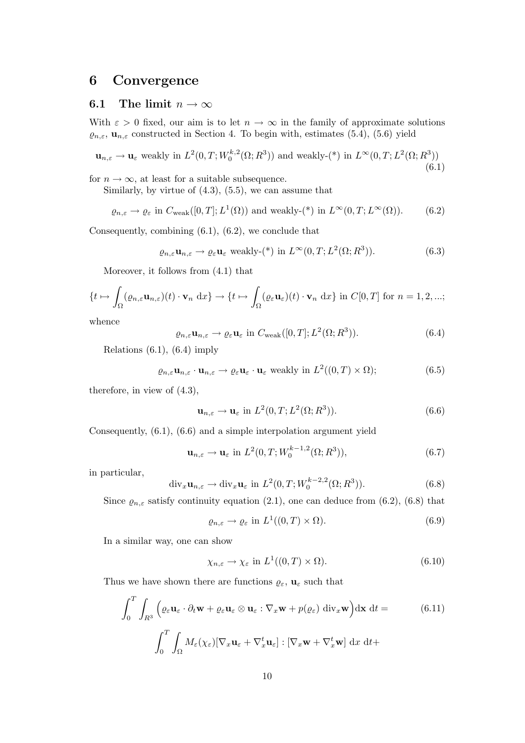# 6 Convergence

## 6.1 The limit  $n \to \infty$

With  $\varepsilon > 0$  fixed, our aim is to let  $n \to \infty$  in the family of approximate solutions  $\varrho_{n,\varepsilon}$ ,  $\mathbf{u}_{n,\varepsilon}$  constructed in Section 4. To begin with, estimates (5.4), (5.6) yield

$$
\mathbf{u}_{n,\varepsilon} \to \mathbf{u}_{\varepsilon} \text{ weakly in } L^2(0,T;W_0^{k,2}(\Omega;R^3)) \text{ and weakly-}(*) \text{ in } L^{\infty}(0,T;L^2(\Omega;R^3))
$$
\n
$$
(6.1)
$$

for  $n \to \infty$ , at least for a suitable subsequence.

Similarly, by virtue of  $(4.3)$ ,  $(5.5)$ , we can assume that

$$
\varrho_{n,\varepsilon} \to \varrho_{\varepsilon} \text{ in } C_{\text{weak}}([0,T];L^1(\Omega)) \text{ and weakly-}(*) \text{ in } L^{\infty}(0,T;L^{\infty}(\Omega)).
$$
 (6.2)

Consequently, combining (6.1), (6.2), we conclude that

$$
\varrho_{n,\varepsilon}\mathbf{u}_{n,\varepsilon} \to \varrho_{\varepsilon}\mathbf{u}_{\varepsilon} \text{ weakly-}(*) \text{ in } L^{\infty}(0,T;L^{2}(\Omega;R^{3})).
$$
 (6.3)

Moreover, it follows from (4.1) that

$$
\{t \mapsto \int_{\Omega} (\varrho_{n,\varepsilon} \mathbf{u}_{n,\varepsilon})(t) \cdot \mathbf{v}_n \, dx\} \to \{t \mapsto \int_{\Omega} (\varrho_{\varepsilon} \mathbf{u}_{\varepsilon})(t) \cdot \mathbf{v}_n \, dx\} \text{ in } C[0,T] \text{ for } n = 1,2,...;
$$

whence

$$
\varrho_{n,\varepsilon}\mathbf{u}_{n,\varepsilon} \to \varrho_{\varepsilon}\mathbf{u}_{\varepsilon} \text{ in } C_{\text{weak}}([0,T];L^2(\Omega;R^3)).\tag{6.4}
$$

Relations  $(6.1)$ ,  $(6.4)$  imply

$$
\varrho_{n,\varepsilon} \mathbf{u}_{n,\varepsilon} \cdot \mathbf{u}_{n,\varepsilon} \to \varrho_{\varepsilon} \mathbf{u}_{\varepsilon} \cdot \mathbf{u}_{\varepsilon} \text{ weakly in } L^2((0,T) \times \Omega); \tag{6.5}
$$

therefore, in view of (4.3),

$$
\mathbf{u}_{n,\varepsilon} \to \mathbf{u}_{\varepsilon} \text{ in } L^2(0,T;L^2(\Omega;R^3)).
$$
\n(6.6)

Consequently, (6.1), (6.6) and a simple interpolation argument yield

$$
\mathbf{u}_{n,\varepsilon} \to \mathbf{u}_{\varepsilon} \text{ in } L^2(0,T;W_0^{k-1,2}(\Omega;R^3)),\tag{6.7}
$$

in particular,

$$
\operatorname{div}_x \mathbf{u}_{n,\varepsilon} \to \operatorname{div}_x \mathbf{u}_{\varepsilon} \text{ in } L^2(0,T;W_0^{k-2,2}(\Omega;R^3)).
$$
\n(6.8)

Since  $\varrho_{n,\varepsilon}$  satisfy continuity equation (2.1), one can deduce from (6.2), (6.8) that

$$
\varrho_{n,\varepsilon} \to \varrho_{\varepsilon} \text{ in } L^1((0,T) \times \Omega). \tag{6.9}
$$

In a similar way, one can show

$$
\chi_{n,\varepsilon} \to \chi_{\varepsilon} \text{ in } L^1((0,T) \times \Omega). \tag{6.10}
$$

Thus we have shown there are functions  $\varrho_{\varepsilon}$ ,  $\mathbf{u}_{\varepsilon}$  such that

$$
\int_0^T \int_{R^3} \left( \varrho_{\varepsilon} \mathbf{u}_{\varepsilon} \cdot \partial_t \mathbf{w} + \varrho_{\varepsilon} \mathbf{u}_{\varepsilon} \otimes \mathbf{u}_{\varepsilon} : \nabla_x \mathbf{w} + p(\varrho_{\varepsilon}) \operatorname{div}_x \mathbf{w} \right) d\mathbf{x} dt =
$$
\n(6.11)\n
$$
\int_0^T \int_{\Omega} M_{\varepsilon}(\chi_{\varepsilon}) [\nabla_x \mathbf{u}_{\varepsilon} + \nabla_x^t \mathbf{u}_{\varepsilon}] : [\nabla_x \mathbf{w} + \nabla_x^t \mathbf{w}] dx dt +
$$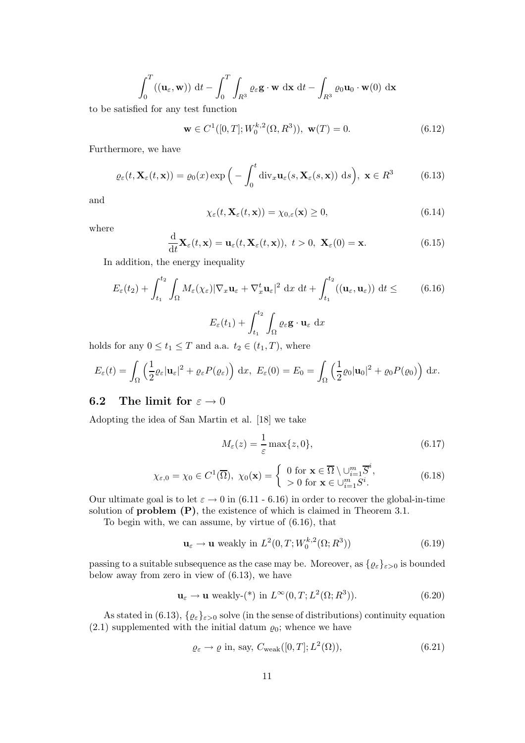$$
\int_0^T ((\mathbf{u}_{\varepsilon}, \mathbf{w})) dt - \int_0^T \int_{R^3} \varrho_{\varepsilon} \mathbf{g} \cdot \mathbf{w} dx dt - \int_{R^3} \varrho_0 \mathbf{u}_0 \cdot \mathbf{w}(0) dx
$$

to be satisfied for any test function

$$
\mathbf{w} \in C^1([0, T]; W_0^{k,2}(\Omega, R^3)), \mathbf{w}(T) = 0.
$$
 (6.12)

Furthermore, we have

$$
\varrho_{\varepsilon}(t, \mathbf{X}_{\varepsilon}(t, \mathbf{x})) = \varrho_{0}(x) \exp\Big(-\int_{0}^{t} \operatorname{div}_{x} \mathbf{u}_{\varepsilon}(s, \mathbf{X}_{\varepsilon}(s, \mathbf{x})) \, ds\Big), \, \, \mathbf{x} \in R^{3} \tag{6.13}
$$

and

$$
\chi_{\varepsilon}(t, \mathbf{X}_{\varepsilon}(t, \mathbf{x})) = \chi_{0, \varepsilon}(\mathbf{x}) \ge 0,
$$
\n(6.14)

where

$$
\frac{\mathrm{d}}{\mathrm{d}t}\mathbf{X}_{\varepsilon}(t,\mathbf{x}) = \mathbf{u}_{\varepsilon}(t,\mathbf{X}_{\varepsilon}(t,\mathbf{x})), \ t > 0, \ \mathbf{X}_{\varepsilon}(0) = \mathbf{x}.\tag{6.15}
$$

In addition, the energy inequality

$$
E_{\varepsilon}(t_2) + \int_{t_1}^{t_2} \int_{\Omega} M_{\varepsilon}(\chi_{\varepsilon}) |\nabla_x \mathbf{u}_{\varepsilon} + \nabla_x^t \mathbf{u}_{\varepsilon}|^2 dx dt + \int_{t_1}^{t_2} ((\mathbf{u}_{\varepsilon}, \mathbf{u}_{\varepsilon})) dt \leq (6.16)
$$
  

$$
E_{\varepsilon}(t_1) + \int_{t_1}^{t_2} \int_{\Omega} \varrho_{\varepsilon} \mathbf{g} \cdot \mathbf{u}_{\varepsilon} dx
$$

holds for any  $0 \le t_1 \le T$  and a.a.  $t_2 \in (t_1, T)$ , where

$$
E_{\varepsilon}(t) = \int_{\Omega} \left( \frac{1}{2} \varrho_{\varepsilon} | \mathbf{u}_{\varepsilon} |^{2} + \varrho_{\varepsilon} P(\varrho_{\varepsilon}) \right) dx, \ E_{\varepsilon}(0) = E_{0} = \int_{\Omega} \left( \frac{1}{2} \varrho_{0} | \mathbf{u}_{0} |^{2} + \varrho_{0} P(\varrho_{0}) \right) dx.
$$

# **6.2** The limit for  $\varepsilon \to 0$

Adopting the idea of San Martin et al. [18] we take

$$
M_{\varepsilon}(z) = \frac{1}{\varepsilon} \max\{z, 0\},\tag{6.17}
$$

$$
\chi_{\varepsilon,0} = \chi_0 \in C^1(\overline{\Omega}), \ \chi_0(\mathbf{x}) = \left\{ \begin{array}{l} 0 \text{ for } \mathbf{x} \in \overline{\Omega} \setminus \cup_{i=1}^m \overline{S}^i, \\ > 0 \text{ for } \mathbf{x} \in \cup_{i=1}^m S^i. \end{array} \right.
$$
 (6.18)

Our ultimate goal is to let  $\varepsilon \to 0$  in (6.11 - 6.16) in order to recover the global-in-time solution of **problem**  $(P)$ , the existence of which is claimed in Theorem 3.1.

To begin with, we can assume, by virtue of (6.16), that

$$
\mathbf{u}_{\varepsilon} \to \mathbf{u} \text{ weakly in } L^2(0, T; W_0^{k,2}(\Omega; R^3))
$$
\n(6.19)

passing to a suitable subsequence as the case may be. Moreover, as  $\{\varrho_{\varepsilon}\}_{{\varepsilon}>0}$  is bounded below away from zero in view of (6.13), we have

$$
\mathbf{u}_{\varepsilon} \to \mathbf{u} \text{ weakly-}(*) \text{ in } L^{\infty}(0, T; L^{2}(\Omega; R^{3})).
$$
 (6.20)

As stated in (6.13),  $\{ \varrho_{\varepsilon} \}_{\varepsilon > 0}$  solve (in the sense of distributions) continuity equation (2.1) supplemented with the initial datum  $\varrho_0$ ; whence we have

$$
\varrho_{\varepsilon} \to \varrho \text{ in, say, } C_{\text{weak}}([0, T]; L^2(\Omega)), \tag{6.21}
$$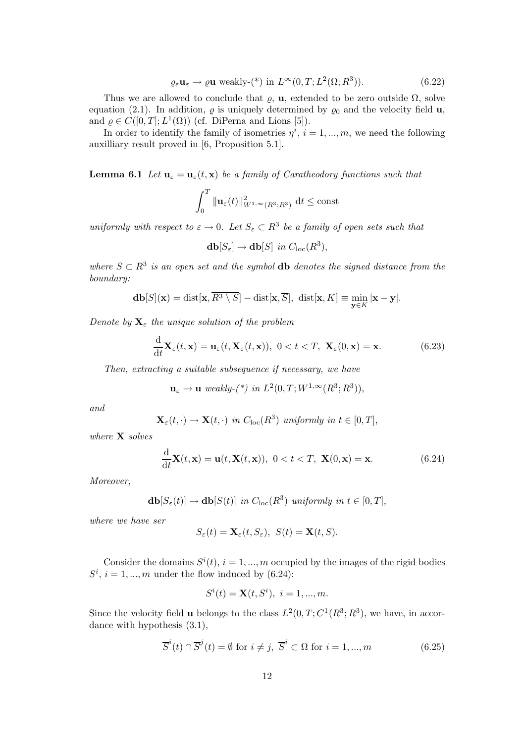$$
\varrho_{\varepsilon} \mathbf{u}_{\varepsilon} \to \varrho \mathbf{u} \text{ weakly-}(*) \text{ in } L^{\infty}(0, T; L^{2}(\Omega; R^{3})).
$$
\n(6.22)

Thus we are allowed to conclude that  $\varrho$ , u, extended to be zero outside  $\Omega$ , solve equation (2.1). In addition,  $\varrho$  is uniquely determined by  $\varrho_0$  and the velocity field **u**, and  $\varrho \in C([0,T]; L^1(\Omega))$  (cf. DiPerna and Lions [5]).

In order to identify the family of isometries  $\eta^i$ ,  $i = 1, ..., m$ , we need the following auxilliary result proved in [6, Proposition 5.1].

**Lemma 6.1** Let  $\mathbf{u}_{\varepsilon} = \mathbf{u}_{\varepsilon}(t, \mathbf{x})$  be a family of Caratheodory functions such that

$$
\int_0^T \|\mathbf{u}_{\varepsilon}(t)\|_{W^{1,\infty}(R^3;R^3)}^2 \, \mathrm{d}t \le \mathrm{const}
$$

uniformly with respect to  $\varepsilon \to 0$ . Let  $S_{\varepsilon} \subset R^3$  be a family of open sets such that

$$
\mathbf{db}[S_{\varepsilon}] \to \mathbf{db}[S] \ \ in \ C_{\rm loc}(R^3),
$$

where  $S \subset \mathbb{R}^3$  is an open set and the symbol **db** denotes the signed distance from the boundary:

$$
\mathbf{db}[S](\mathbf{x}) = \text{dist}[\mathbf{x}, \overline{R^3 \setminus S}] - \text{dist}[\mathbf{x}, \overline{S}], \ \text{dist}[\mathbf{x}, K] \equiv \min_{\mathbf{y} \in K} |\mathbf{x} - \mathbf{y}|.
$$

Denote by  $\mathbf{X}_{\varepsilon}$  the unique solution of the problem

$$
\frac{\mathrm{d}}{\mathrm{d}t}\mathbf{X}_{\varepsilon}(t,\mathbf{x}) = \mathbf{u}_{\varepsilon}(t,\mathbf{X}_{\varepsilon}(t,\mathbf{x})), \ 0 < t < T, \ \mathbf{X}_{\varepsilon}(0,\mathbf{x}) = \mathbf{x}.\tag{6.23}
$$

Then, extracting a suitable subsequence if necessary, we have

$$
\mathbf{u}_{\varepsilon} \to \mathbf{u} \ weakly-(*) \ in \ L^{2}(0,T;W^{1,\infty}(R^{3};R^{3})),
$$

and

$$
\mathbf{X}_{\varepsilon}(t,\cdot) \to \mathbf{X}(t,\cdot) \ \ in \ C_{\text{loc}}(R^3) \ \ uniformly \ in \ t \in [0,T],
$$

where **X** solves

$$
\frac{\mathrm{d}}{\mathrm{d}t}\mathbf{X}(t,\mathbf{x}) = \mathbf{u}(t,\mathbf{X}(t,\mathbf{x})), \ 0 < t < T, \ \mathbf{X}(0,\mathbf{x}) = \mathbf{x}.\tag{6.24}
$$

Moreover,

$$
\mathbf{db}[S_{\varepsilon}(t)] \to \mathbf{db}[S(t)] \text{ in } C_{\text{loc}}(R^3) \text{ uniformly in } t \in [0, T],
$$

where we have ser

$$
S_{\varepsilon}(t) = \mathbf{X}_{\varepsilon}(t, S_{\varepsilon}), \ S(t) = \mathbf{X}(t, S).
$$

Consider the domains  $S^{i}(t)$ ,  $i = 1,...,m$  occupied by the images of the rigid bodies  $S^i$ ,  $i = 1, ..., m$  under the flow induced by (6.24):

$$
S^{i}(t) = \mathbf{X}(t, S^{i}), i = 1, ..., m.
$$

Since the velocity field **u** belongs to the class  $L^2(0,T;C^1(R^3;R^3))$ , we have, in accordance with hypothesis (3.1),

$$
\overline{S}^i(t) \cap \overline{S}^j(t) = \emptyset \text{ for } i \neq j, \ \overline{S}^i \subset \Omega \text{ for } i = 1, ..., m
$$
 (6.25)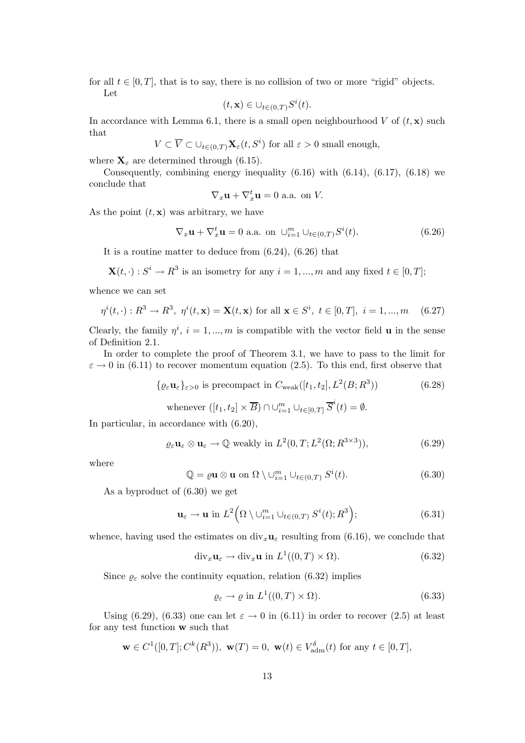for all  $t \in [0, T]$ , that is to say, there is no collision of two or more "rigid" objects. Let

$$
(t, \mathbf{x}) \in \bigcup_{t \in (0,T)} S^i(t).
$$

In accordance with Lemma 6.1, there is a small open neighbourhood V of  $(t, x)$  such that

$$
V \subset \overline{V} \subset \cup_{t \in (0,T)} \mathbf{X}_{\varepsilon}(t,S^i) \text{ for all } \varepsilon > 0 \text{ small enough},
$$

where  $\mathbf{X}_{\varepsilon}$  are determined through (6.15).

Consequently, combining energy inequality  $(6.16)$  with  $(6.14)$ ,  $(6.17)$ ,  $(6.18)$  we conclude that

$$
\nabla_x \mathbf{u} + \nabla_x^t \mathbf{u} = 0 \text{ a.a. on } V.
$$

As the point  $(t, x)$  was arbitrary, we have

$$
\nabla_x \mathbf{u} + \nabla_x^t \mathbf{u} = 0 \text{ a.a. on } \cup_{i=1}^m \cup_{t \in (0,T)} S^i(t). \tag{6.26}
$$

It is a routine matter to deduce from (6.24), (6.26) that

$$
\mathbf{X}(t, \cdot): S^i \to R^3
$$
 is an isometry for any  $i = 1, ..., m$  and any fixed  $t \in [0, T]$ ;

whence we can set

$$
\eta^{i}(t,\cdot) : R^{3} \to R^{3}, \ \eta^{i}(t,\mathbf{x}) = \mathbf{X}(t,\mathbf{x}) \text{ for all } \mathbf{x} \in S^{i}, \ t \in [0,T], \ i = 1,...,m \quad (6.27)
$$

Clearly, the family  $\eta^i$ ,  $i = 1, ..., m$  is compatible with the vector field **u** in the sense of Definition 2.1.

In order to complete the proof of Theorem 3.1, we have to pass to the limit for  $\varepsilon \to 0$  in (6.11) to recover momentum equation (2.5). To this end, first observe that

> $\{\varrho_{\varepsilon}\mathbf{u}_{\varepsilon}\}_{{\varepsilon}>0}$  is precompact in  $C_{\text{weak}}([t_1, t_2], L^2(B; R^3))$  $(6.28)$ whenever  $([t_1, t_2] \times \overline{B}) \cap \cup_{i=1}^m \cup_{t \in [0,T]} \overline{S}^i(t) = \emptyset$ .

In particular, in accordance with (6.20),

$$
\varrho_{\varepsilon} \mathbf{u}_{\varepsilon} \otimes \mathbf{u}_{\varepsilon} \to \mathbb{Q} \text{ weakly in } L^2(0, T; L^2(\Omega; R^{3 \times 3})), \tag{6.29}
$$

where

$$
\mathbb{Q} = \varrho \mathbf{u} \otimes \mathbf{u} \text{ on } \Omega \setminus \bigcup_{i=1}^{m} \bigcup_{t \in (0,T)} S^{i}(t). \tag{6.30}
$$

As a byproduct of (6.30) we get

$$
\mathbf{u}_{\varepsilon} \to \mathbf{u} \text{ in } L^2\Big(\Omega \setminus \bigcup_{i=1}^m \bigcup_{t \in (0,T)} S^i(t); R^3\Big); \tag{6.31}
$$

whence, having used the estimates on  $div_x \mathbf{u}_\varepsilon$  resulting from (6.16), we conclude that

$$
\operatorname{div}_x \mathbf{u}_\varepsilon \to \operatorname{div}_x \mathbf{u} \text{ in } L^1((0, T) \times \Omega). \tag{6.32}
$$

Since  $\varrho_{\varepsilon}$  solve the continuity equation, relation (6.32) implies

$$
\varrho_{\varepsilon} \to \varrho \text{ in } L^1((0,T) \times \Omega). \tag{6.33}
$$

Using (6.29), (6.33) one can let  $\varepsilon \to 0$  in (6.11) in order to recover (2.5) at least for any test function w such that

$$
\mathbf{w} \in C^1([0, T]; C^k(R^3)), \mathbf{w}(T) = 0, \mathbf{w}(t) \in V_{\text{adm}}^{\delta}(t) \text{ for any } t \in [0, T],
$$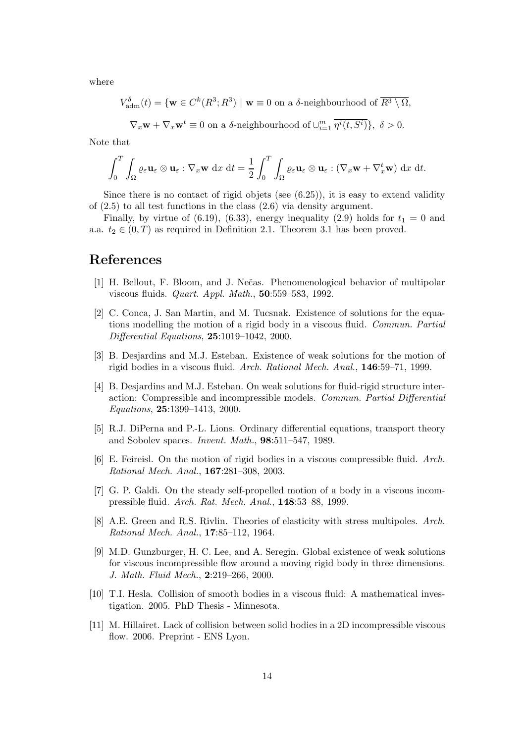where

$$
V_{\mathrm{adm}}^{\delta}(t) = \{ \mathbf{w} \in C^k(R^3; R^3) \mid \mathbf{w} \equiv 0 \text{ on a } \delta \text{-neighborhood of } \overline{R^3 \setminus \Omega},
$$

$$
\nabla_x \mathbf{w} + \nabla_x \mathbf{w}^t \equiv 0 \text{ on a } \delta \text{-neighborhood of } \cup_{i=1}^m \overline{\eta^i(t, S^i)} \}, \delta > 0.
$$

Note that

$$
\int_0^T \int_{\Omega} \varrho_{\varepsilon} \mathbf{u}_{\varepsilon} \otimes \mathbf{u}_{\varepsilon} : \nabla_x \mathbf{w} \, dx \, dt = \frac{1}{2} \int_0^T \int_{\Omega} \varrho_{\varepsilon} \mathbf{u}_{\varepsilon} \otimes \mathbf{u}_{\varepsilon} : (\nabla_x \mathbf{w} + \nabla_x^t \mathbf{w}) \, dx \, dt.
$$

Since there is no contact of rigid objets (see  $(6.25)$ ), it is easy to extend validity of (2.5) to all test functions in the class (2.6) via density argument.

Finally, by virtue of (6.19), (6.33), energy inequality (2.9) holds for  $t_1 = 0$  and a.a.  $t_2 \in (0,T)$  as required in Definition 2.1. Theorem 3.1 has been proved.

# References

- [1] H. Bellout, F. Bloom, and J. Neˇcas. Phenomenological behavior of multipolar viscous fluids. Quart. Appl. Math., 50:559–583, 1992.
- [2] C. Conca, J. San Martin, and M. Tucsnak. Existence of solutions for the equations modelling the motion of a rigid body in a viscous fluid. Commun. Partial Differential Equations, 25:1019–1042, 2000.
- [3] B. Desjardins and M.J. Esteban. Existence of weak solutions for the motion of rigid bodies in a viscous fluid. Arch. Rational Mech. Anal., 146:59–71, 1999.
- [4] B. Desjardins and M.J. Esteban. On weak solutions for fluid-rigid structure interaction: Compressible and incompressible models. Commun. Partial Differential Equations, 25:1399–1413, 2000.
- [5] R.J. DiPerna and P.-L. Lions. Ordinary differential equations, transport theory and Sobolev spaces. Invent. Math., 98:511–547, 1989.
- [6] E. Feireisl. On the motion of rigid bodies in a viscous compressible fluid. Arch. Rational Mech. Anal., 167:281–308, 2003.
- [7] G. P. Galdi. On the steady self-propelled motion of a body in a viscous incompressible fluid. Arch. Rat. Mech. Anal., 148:53–88, 1999.
- [8] A.E. Green and R.S. Rivlin. Theories of elasticity with stress multipoles. Arch. Rational Mech. Anal., 17:85–112, 1964.
- [9] M.D. Gunzburger, H. C. Lee, and A. Seregin. Global existence of weak solutions for viscous incompressible flow around a moving rigid body in three dimensions. J. Math. Fluid Mech., 2:219–266, 2000.
- [10] T.I. Hesla. Collision of smooth bodies in a viscous fluid: A mathematical investigation. 2005. PhD Thesis - Minnesota.
- [11] M. Hillairet. Lack of collision between solid bodies in a 2D incompressible viscous flow. 2006. Preprint - ENS Lyon.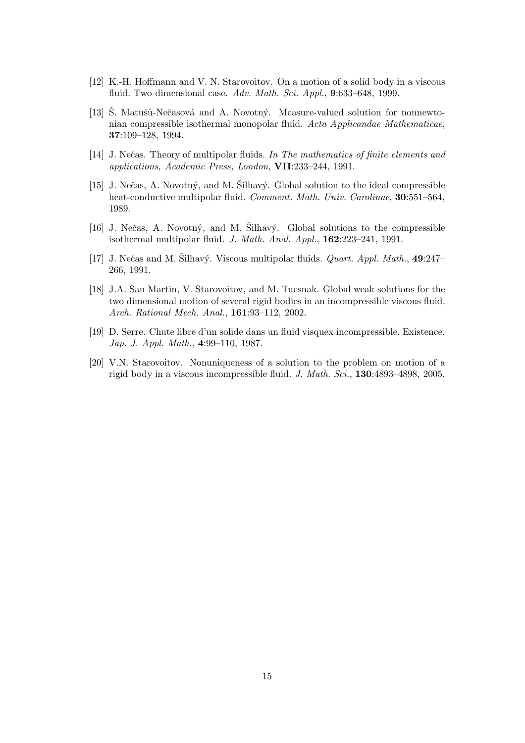- [12] K.-H. Hoffmann and V. N. Starovoitov. On a motion of a solid body in a viscous fluid. Two dimensional case. Adv. Math. Sci. Appl., 9:633-648, 1999.
- [13] S. Matušů-Nečasová and A. Novotný. Measure-valued solution for nonnewtonian compressible isothermal monopolar fluid. Acta Applicandae Mathematicae, 37:109–128, 1994.
- [14] J. Nečas. Theory of multipolar fluids. In The mathematics of finite elements and applications, Academic Press, London, VII:233–244, 1991.
- [15] J. Nečas, A. Novotný, and M. Silhavý. Global solution to the ideal compressible heat-conductive multipolar fluid. Comment. Math. Univ. Carolinae, 30:551–564, 1989.
- [16] J. Nečas, A. Novotný, and M. Šilhavý. Global solutions to the compressible isothermal multipolar fluid. J. Math. Anal. Appl., 162:223–241, 1991.
- [17] J. Nečas and M. Silhavý. Viscous multipolar fluids. *Quart. Appl. Math.*,  $49:247-$ 266, 1991.
- [18] J.A. San Martin, V. Starovoitov, and M. Tucsnak. Global weak solutions for the two dimensional motion of several rigid bodies in an incompressible viscous fluid. Arch. Rational Mech. Anal., 161:93–112, 2002.
- [19] D. Serre. Chute libre d'un solide dans un fluid visquex incompressible. Existence. Jap. J. Appl. Math., 4:99–110, 1987.
- [20] V.N. Starovoitov. Nonuniqueness of a solution to the problem on motion of a rigid body in a viscous incompressible fluid. J. Math. Sci., 130:4893–4898, 2005.